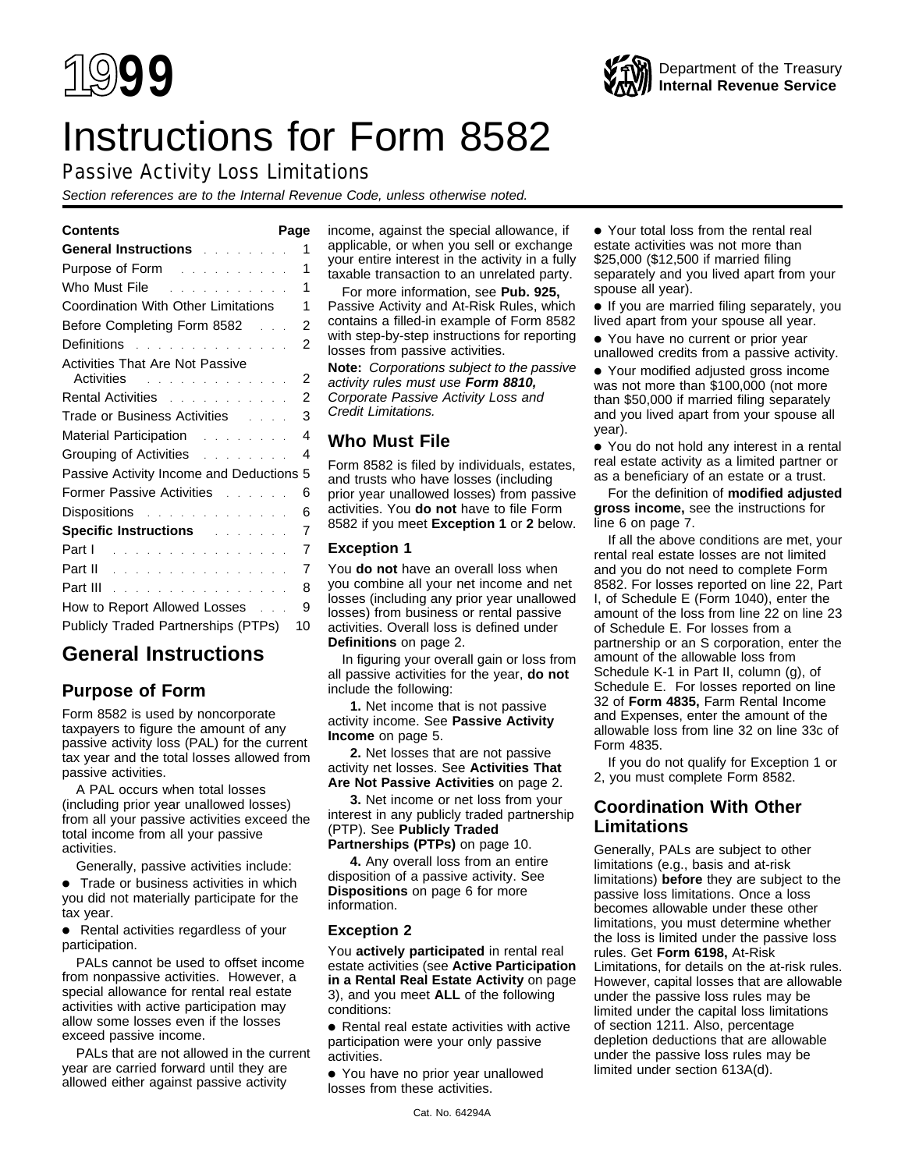# Instructions for Form 8582

# Passive Activity Loss Limitations

Section references are to the Internal Revenue Code, unless otherwise noted.

| General Instructions and a state of the<br>1                                                                                                                                                                                        |
|-------------------------------------------------------------------------------------------------------------------------------------------------------------------------------------------------------------------------------------|
| 1<br>Purpose of Form <b>Provide Act Act Act Provide</b>                                                                                                                                                                             |
| Who Must File <b>Contract Contract Property</b><br>1                                                                                                                                                                                |
| Coordination With Other Limitations<br>1                                                                                                                                                                                            |
| 2<br>Before Completing Form 8582<br>$\mathbb{R}^n$                                                                                                                                                                                  |
| 2<br>Definitions research and the set of the Definitions of the set of the Definition of the Definition of the Definition of the Definition of the Definition of the Definition of the Definition of the Definition of the Definiti |
| <b>Activities That Are Not Passive</b>                                                                                                                                                                                              |
| 2<br>Activities and a series and a series of the series of the series of the series of the series of the series of the series of the series of the series of the series of the series of the series of the series of the series of  |
| 2<br>Rental Activities and a series and a series and a series and a series and a series of the Rental Series and a                                                                                                                  |
| 3<br>Trade or Business Activities Fig. 1. 1. 1.                                                                                                                                                                                     |
| 4                                                                                                                                                                                                                                   |
| Grouping of Activities <b>Containing Containing</b><br>4                                                                                                                                                                            |
| Passive Activity Income and Deductions<br>5                                                                                                                                                                                         |
| Former Passive Activities [11] Louis Links<br>6                                                                                                                                                                                     |
| Dispositions and a series are a series of<br>6                                                                                                                                                                                      |
| 7<br><b>Specific Instructions Allen Specific Instructions</b>                                                                                                                                                                       |
| 7<br>والمتحاد والمتحاد والمتحاد والمتحاد والمتحد<br>Part I                                                                                                                                                                          |
| 7<br>Part II                                                                                                                                                                                                                        |
| 8<br>Part III                                                                                                                                                                                                                       |
| 9<br>How to Report Allowed Losses                                                                                                                                                                                                   |
| Publicly Traded Partnerships (PTPs)<br>10                                                                                                                                                                                           |
|                                                                                                                                                                                                                                     |

# **General Instructions**

# **Purpose of Form**

Form 8582 is used by noncorporate taxpayers to figure the amount of any passive activity loss (PAL) for the current tax year and the total losses allowed from passive activities.

A PAL occurs when total losses (including prior year unallowed losses) from all your passive activities exceed the total income from all your passive activities.

Generally, passive activities include:

● Trade or business activities in which you did not materially participate for the tax year.

● Rental activities regardless of your participation.

PALs cannot be used to offset income from nonpassive activities. However, a special allowance for rental real estate activities with active participation may allow some losses even if the losses exceed passive income.

PALs that are not allowed in the current year are carried forward until they are allowed either against passive activity

**Contents Page** income, against the special allowance, if applicable, or when you sell or exchange your entire interest in the activity in a fully taxable transaction to an unrelated party.

> For more information, see **Pub. 925,** Passive Activity and At-Risk Rules, which contains a filled-in example of Form 8582 with step-by-step instructions for reporting losses from passive activities.

**Note:** Corporations subject to the passive activity rules must use **Form 8810,** Corporate Passive Activity Loss and Credit Limitations.

# **Who Must File**

Form 8582 is filed by individuals, estates, and trusts who have losses (including prior year unallowed losses) from passive activities. You **do not** have to file Form 8582 if you meet **Exception 1** or **2** below.

# **Exception 1**

You **do not** have an overall loss when you combine all your net income and net losses (including any prior year unallowed losses) from business or rental passive activities. Overall loss is defined under **Definitions** on page 2.

In figuring your overall gain or loss from all passive activities for the year, **do not** include the following:

**1.** Net income that is not passive activity income. See **Passive Activity Income** on page 5.

**2.** Net losses that are not passive activity net losses. See **Activities That Are Not Passive Activities** on page 2.

**3.** Net income or net loss from your interest in any publicly traded partnership (PTP). See **Publicly Traded Partnerships (PTPs)** on page 10.

**4.** Any overall loss from an entire disposition of a passive activity. See **Dispositions** on page 6 for more information.

# **Exception 2**

You **actively participated** in rental real estate activities (see **Active Participation in a Rental Real Estate Activity** on page 3), and you meet **ALL** of the following conditions:

● Rental real estate activities with active participation were your only passive activities.

● You have no prior year unallowed losses from these activities.

Form 4835.

If you do not qualify for Exception 1 or 2, you must complete Form 8582.

# **Coordination With Other Limitations**

Generally, PALs are subject to other limitations (e.g., basis and at-risk limitations) **before** they are subject to the passive loss limitations. Once a loss becomes allowable under these other limitations, you must determine whether the loss is limited under the passive loss rules. Get **Form 6198,** At-Risk Limitations, for details on the at-risk rules. However, capital losses that are allowable under the passive loss rules may be limited under the capital loss limitations of section 1211. Also, percentage depletion deductions that are allowable under the passive loss rules may be limited under section 613A(d).

● Your total loss from the rental real estate activities was not more than \$25,000 (\$12,500 if married filing separately and you lived apart from your spouse all year).

● If you are married filing separately, you lived apart from your spouse all year.

● You have no current or prior year unallowed credits from a passive activity.

● Your modified adjusted gross income was not more than \$100,000 (not more than \$50,000 if married filing separately and you lived apart from your spouse all year).

● You do not hold any interest in a rental real estate activity as a limited partner or as a beneficiary of an estate or a trust.

For the definition of **modified adjusted gross income,** see the instructions for line 6 on page 7.

If all the above conditions are met, your rental real estate losses are not limited and you do not need to complete Form 8582. For losses reported on line 22, Part I, of Schedule E (Form 1040), enter the amount of the loss from line 22 on line 23 of Schedule E. For losses from a partnership or an S corporation, enter the amount of the allowable loss from Schedule K-1 in Part II, column (g), of Schedule E. For losses reported on line 32 of **Form 4835,** Farm Rental Income and Expenses, enter the amount of the allowable loss from line 32 on line 33c of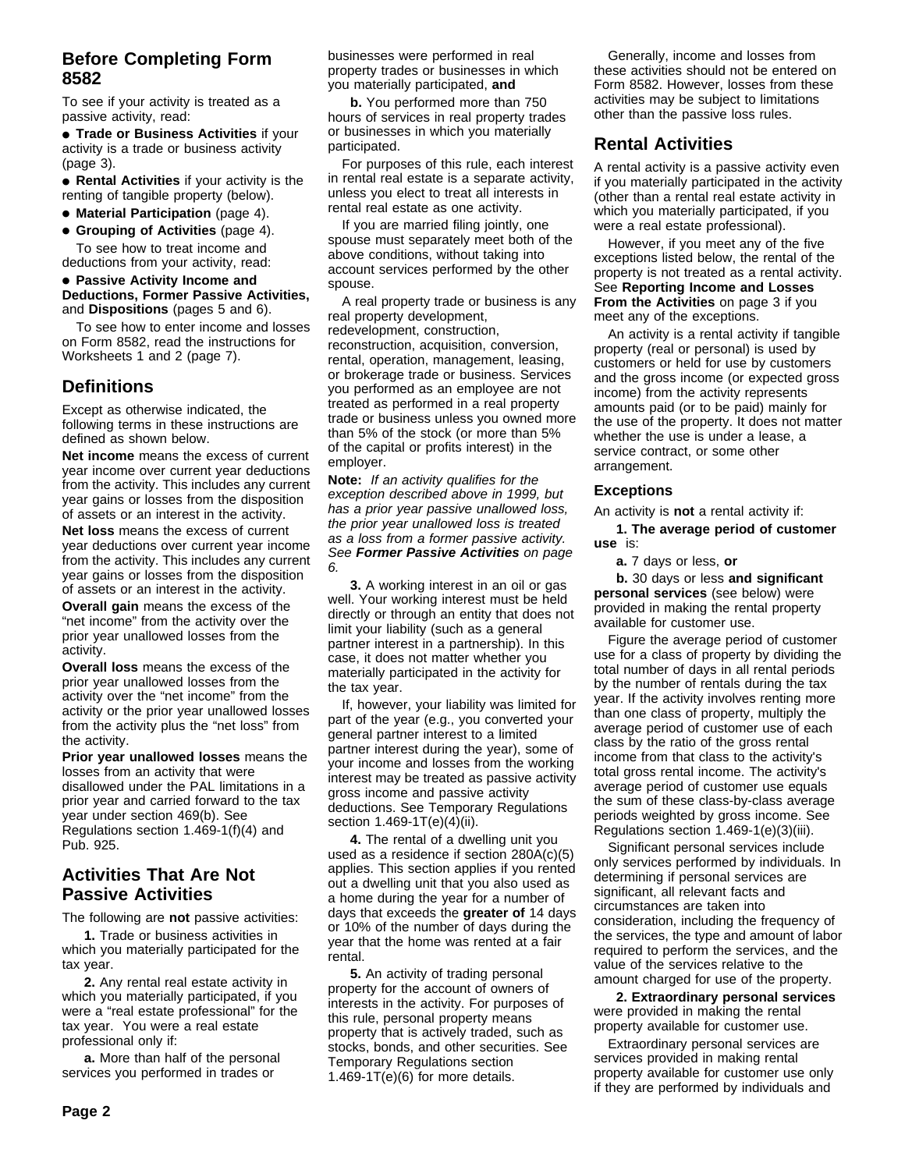# **Before Completing Form 8582**

To see if your activity is treated as a passive activity, read:

● **Trade or Business Activities** if your activity is a trade or business activity (page 3).

● **Rental Activities** if your activity is the renting of tangible property (below).

● **Material Participation** (page 4).

● **Grouping of Activities** (page 4). To see how to treat income and deductions from your activity, read:

# ● **Passive Activity Income and Deductions, Former Passive Activities,** and **Dispositions** (pages 5 and 6).

To see how to enter income and losses on Form 8582, read the instructions for Worksheets 1 and 2 (page 7).

# **Definitions**

Except as otherwise indicated, the following terms in these instructions are defined as shown below.

**Net income** means the excess of current year income over current year deductions from the activity. This includes any current year gains or losses from the disposition of assets or an interest in the activity.

**Net loss** means the excess of current year deductions over current year income from the activity. This includes any current year gains or losses from the disposition of assets or an interest in the activity.

**Overall gain** means the excess of the "net income" from the activity over the prior year unallowed losses from the activity.

**Overall loss** means the excess of the prior year unallowed losses from the activity over the "net income" from the activity or the prior year unallowed losses from the activity plus the "net loss" from the activity.

**Prior year unallowed losses** means the losses from an activity that were disallowed under the PAL limitations in a prior year and carried forward to the tax year under section 469(b). See Regulations section 1.469-1(f)(4) and Pub. 925.

# **Activities That Are Not Passive Activities**

The following are **not** passive activities:

**1.** Trade or business activities in which you materially participated for the tax year.

**2.** Any rental real estate activity in which you materially participated, if you were a "real estate professional" for the tax year. You were a real estate professional only if:

**a.** More than half of the personal services you performed in trades or

businesses were performed in real property trades or businesses in which you materially participated, **and**

**b.** You performed more than 750 hours of services in real property trades or businesses in which you materially participated.

For purposes of this rule, each interest in rental real estate is a separate activity, unless you elect to treat all interests in rental real estate as one activity.

If you are married filing jointly, one spouse must separately meet both of the above conditions, without taking into account services performed by the other spouse.

A real property trade or business is any real property development,

redevelopment, construction, reconstruction, acquisition, conversion, rental, operation, management, leasing, or brokerage trade or business. Services you performed as an employee are not treated as performed in a real property trade or business unless you owned more than 5% of the stock (or more than 5% of the capital or profits interest) in the employer.

**Note:** If an activity qualifies for the exception described above in 1999, but has a prior year passive unallowed loss, the prior year unallowed loss is treated as a loss from a former passive activity. See **Former Passive Activities** on page 6.

**3.** A working interest in an oil or gas well. Your working interest must be held directly or through an entity that does not limit your liability (such as a general partner interest in a partnership). In this case, it does not matter whether you materially participated in the activity for the tax year.

If, however, your liability was limited for part of the year (e.g., you converted your general partner interest to a limited partner interest during the year), some of your income and losses from the working interest may be treated as passive activity gross income and passive activity deductions. See Temporary Regulations section 1.469-1T(e)(4)(ii).

**4.** The rental of a dwelling unit you used as a residence if section 280A(c)(5) applies. This section applies if you rented out a dwelling unit that you also used as a home during the year for a number of days that exceeds the **greater of** 14 days or 10% of the number of days during the year that the home was rented at a fair rental.

**5.** An activity of trading personal property for the account of owners of interests in the activity. For purposes of this rule, personal property means property that is actively traded, such as stocks, bonds, and other securities. See Temporary Regulations section  $1.469 - 1T(e)(6)$  for more details.

Generally, income and losses from these activities should not be entered on Form 8582. However, losses from these activities may be subject to limitations other than the passive loss rules.

# **Rental Activities**

A rental activity is a passive activity even if you materially participated in the activity (other than a rental real estate activity in which you materially participated, if you were a real estate professional).

However, if you meet any of the five exceptions listed below, the rental of the property is not treated as a rental activity. See **Reporting Income and Losses From the Activities** on page 3 if you meet any of the exceptions.

An activity is a rental activity if tangible property (real or personal) is used by customers or held for use by customers and the gross income (or expected gross income) from the activity represents amounts paid (or to be paid) mainly for the use of the property. It does not matter whether the use is under a lease, a service contract, or some other arrangement.

# **Exceptions**

An activity is **not** a rental activity if:

**1. The average period of customer use** is:

**a.** 7 days or less, **or**

**b.** 30 days or less **and significant personal services** (see below) were provided in making the rental property available for customer use.

Figure the average period of customer use for a class of property by dividing the total number of days in all rental periods by the number of rentals during the tax year. If the activity involves renting more than one class of property, multiply the average period of customer use of each class by the ratio of the gross rental income from that class to the activity's total gross rental income. The activity's average period of customer use equals the sum of these class-by-class average periods weighted by gross income. See Regulations section 1.469-1(e)(3)(iii).

Significant personal services include only services performed by individuals. In determining if personal services are significant, all relevant facts and circumstances are taken into consideration, including the frequency of the services, the type and amount of labor required to perform the services, and the value of the services relative to the amount charged for use of the property.

**2. Extraordinary personal services** were provided in making the rental property available for customer use.

Extraordinary personal services are services provided in making rental property available for customer use only if they are performed by individuals and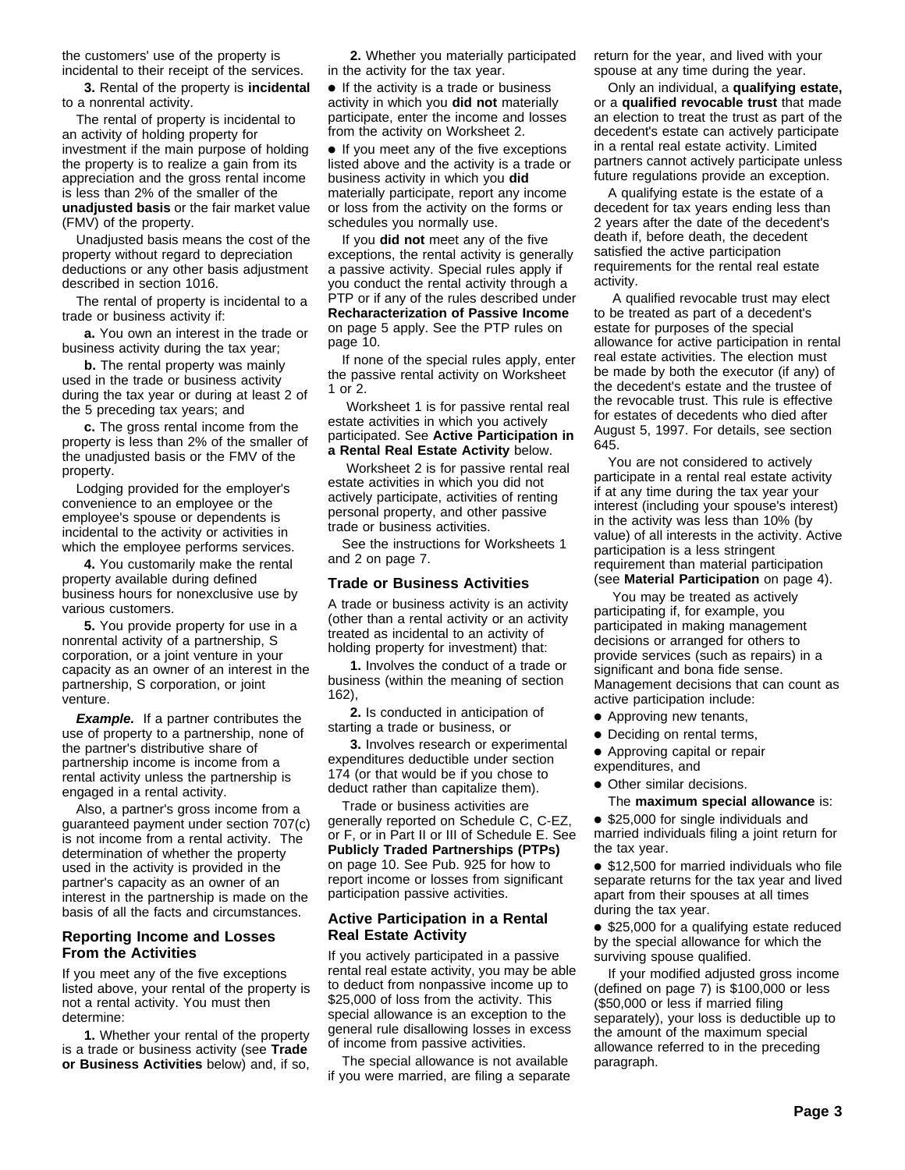the customers' use of the property is incidental to their receipt of the services.

**3.** Rental of the property is **incidental** to a nonrental activity.

The rental of property is incidental to an activity of holding property for investment if the main purpose of holding the property is to realize a gain from its appreciation and the gross rental income is less than 2% of the smaller of the **unadjusted basis** or the fair market value (FMV) of the property.

Unadjusted basis means the cost of the property without regard to depreciation deductions or any other basis adjustment described in section 1016.

The rental of property is incidental to a trade or business activity if:

**a.** You own an interest in the trade or business activity during the tax year;

**b.** The rental property was mainly used in the trade or business activity during the tax year or during at least 2 of the 5 preceding tax years; and

**c.** The gross rental income from the property is less than 2% of the smaller of the unadjusted basis or the FMV of the property.

Lodging provided for the employer's convenience to an employee or the employee's spouse or dependents is incidental to the activity or activities in which the employee performs services.

**4.** You customarily make the rental property available during defined business hours for nonexclusive use by various customers.

**5.** You provide property for use in a nonrental activity of a partnership, S corporation, or a joint venture in your capacity as an owner of an interest in the partnership, S corporation, or joint venture.

**Example.** If a partner contributes the use of property to a partnership, none of the partner's distributive share of partnership income is income from a rental activity unless the partnership is engaged in a rental activity.

Also, a partner's gross income from a guaranteed payment under section 707(c) is not income from a rental activity. The determination of whether the property used in the activity is provided in the partner's capacity as an owner of an interest in the partnership is made on the basis of all the facts and circumstances.

#### **Reporting Income and Losses From the Activities**

If you meet any of the five exceptions listed above, your rental of the property is not a rental activity. You must then determine:

**1.** Whether your rental of the property is a trade or business activity (see **Trade or Business Activities** below) and, if so,

**2.** Whether you materially participated in the activity for the tax year.

● If the activity is a trade or business activity in which you **did not** materially participate, enter the income and losses from the activity on Worksheet 2.

● If you meet any of the five exceptions listed above and the activity is a trade or business activity in which you **did** materially participate, report any income or loss from the activity on the forms or schedules you normally use.

If you **did not** meet any of the five exceptions, the rental activity is generally a passive activity. Special rules apply if you conduct the rental activity through a PTP or if any of the rules described under **Recharacterization of Passive Income** on page 5 apply. See the PTP rules on page 10.

If none of the special rules apply, enter the passive rental activity on Worksheet 1 or 2.

 Worksheet 1 is for passive rental real estate activities in which you actively participated. See **Active Participation in a Rental Real Estate Activity** below.

 Worksheet 2 is for passive rental real estate activities in which you did not actively participate, activities of renting personal property, and other passive trade or business activities.

See the instructions for Worksheets 1 and 2 on page 7.

#### **Trade or Business Activities**

A trade or business activity is an activity (other than a rental activity or an activity treated as incidental to an activity of holding property for investment) that:

**1.** Involves the conduct of a trade or business (within the meaning of section 162),

**2.** Is conducted in anticipation of starting a trade or business, or

**3.** Involves research or experimental expenditures deductible under section 174 (or that would be if you chose to deduct rather than capitalize them).

Trade or business activities are generally reported on Schedule C, C-EZ, or F, or in Part II or III of Schedule E. See **Publicly Traded Partnerships (PTPs)** on page 10. See Pub. 925 for how to report income or losses from significant participation passive activities.

# **Active Participation in a Rental Real Estate Activity**

If you actively participated in a passive rental real estate activity, you may be able to deduct from nonpassive income up to \$25,000 of loss from the activity. This special allowance is an exception to the general rule disallowing losses in excess of income from passive activities.

The special allowance is not available if you were married, are filing a separate return for the year, and lived with your spouse at any time during the year.

Only an individual, a **qualifying estate,** or a **qualified revocable trust** that made an election to treat the trust as part of the decedent's estate can actively participate in a rental real estate activity. Limited partners cannot actively participate unless future regulations provide an exception.

A qualifying estate is the estate of a decedent for tax years ending less than 2 years after the date of the decedent's death if, before death, the decedent satisfied the active participation requirements for the rental real estate activity.

 A qualified revocable trust may elect to be treated as part of a decedent's estate for purposes of the special allowance for active participation in rental real estate activities. The election must be made by both the executor (if any) of the decedent's estate and the trustee of the revocable trust. This rule is effective for estates of decedents who died after August 5, 1997. For details, see section 645.

You are not considered to actively participate in a rental real estate activity if at any time during the tax year your interest (including your spouse's interest) in the activity was less than 10% (by value) of all interests in the activity. Active participation is a less stringent requirement than material participation (see **Material Participation** on page 4).

 You may be treated as actively participating if, for example, you participated in making management decisions or arranged for others to provide services (such as repairs) in a significant and bona fide sense. Management decisions that can count as active participation include:

- Approving new tenants,
- Deciding on rental terms,
- Approving capital or repair
- expenditures, and
- Other similar decisions.
	- The **maximum special allowance** is:

● \$25,000 for single individuals and married individuals filing a joint return for the tax year.

● \$12,500 for married individuals who file separate returns for the tax year and lived apart from their spouses at all times during the tax year.

● \$25,000 for a qualifying estate reduced by the special allowance for which the surviving spouse qualified.

If your modified adjusted gross income (defined on page 7) is \$100,000 or less (\$50,000 or less if married filing separately), your loss is deductible up to the amount of the maximum special allowance referred to in the preceding paragraph.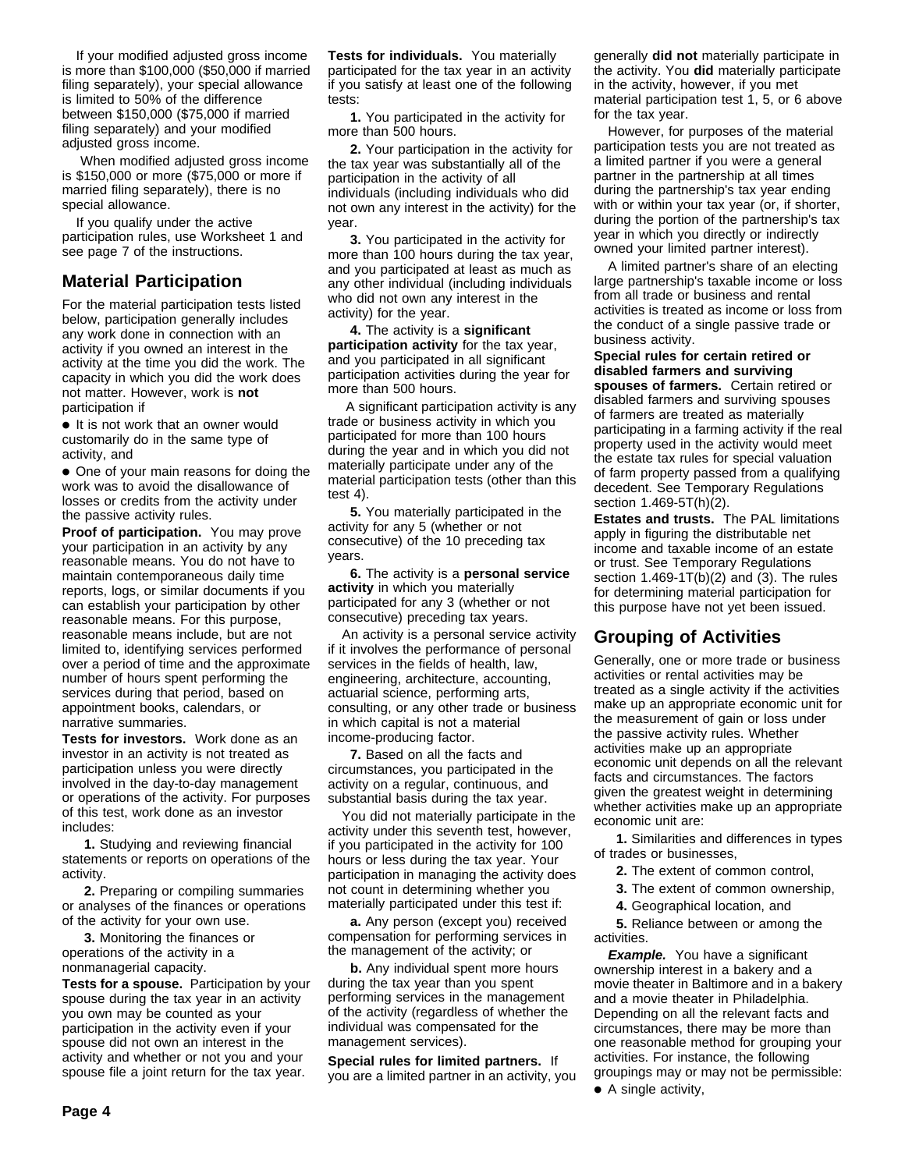If your modified adjusted gross income is more than \$100,000 (\$50,000 if married filing separately), your special allowance is limited to 50% of the difference between \$150,000 (\$75,000 if married filing separately) and your modified adjusted gross income.

 When modified adjusted gross income is \$150,000 or more (\$75,000 or more if married filing separately), there is no special allowance.

If you qualify under the active participation rules, use Worksheet 1 and see page 7 of the instructions.

# **Material Participation**

For the material participation tests listed below, participation generally includes any work done in connection with an activity if you owned an interest in the activity at the time you did the work. The capacity in which you did the work does not matter. However, work is **not** participation if

● It is not work that an owner would customarily do in the same type of activity, and

• One of your main reasons for doing the work was to avoid the disallowance of losses or credits from the activity under the passive activity rules.

**Proof of participation.** You may prove your participation in an activity by any reasonable means. You do not have to maintain contemporaneous daily time reports, logs, or similar documents if you can establish your participation by other reasonable means. For this purpose, reasonable means include, but are not limited to, identifying services performed over a period of time and the approximate number of hours spent performing the services during that period, based on appointment books, calendars, or narrative summaries.

**Tests for investors.** Work done as an investor in an activity is not treated as participation unless you were directly involved in the day-to-day management or operations of the activity. For purposes of this test, work done as an investor includes:

**1.** Studying and reviewing financial statements or reports on operations of the activity.

**2.** Preparing or compiling summaries or analyses of the finances or operations of the activity for your own use.

**3.** Monitoring the finances or operations of the activity in a nonmanagerial capacity.

**Tests for a spouse.** Participation by your spouse during the tax year in an activity you own may be counted as your participation in the activity even if your spouse did not own an interest in the activity and whether or not you and your spouse file a joint return for the tax year.

**Tests for individuals.** You materially participated for the tax year in an activity if you satisfy at least one of the following tests:

**1.** You participated in the activity for more than 500 hours.

**2.** Your participation in the activity for the tax year was substantially all of the participation in the activity of all individuals (including individuals who did not own any interest in the activity) for the year.

**3.** You participated in the activity for more than 100 hours during the tax year, and you participated at least as much as any other individual (including individuals who did not own any interest in the activity) for the year.

**4.** The activity is a **significant participation activity** for the tax year, and you participated in all significant participation activities during the year for more than 500 hours.

 A significant participation activity is any trade or business activity in which you participated for more than 100 hours during the year and in which you did not materially participate under any of the material participation tests (other than this test 4).

**5.** You materially participated in the activity for any 5 (whether or not consecutive) of the 10 preceding tax years.

**6.** The activity is a **personal service activity** in which you materially participated for any 3 (whether or not consecutive) preceding tax years.

An activity is a personal service activity if it involves the performance of personal services in the fields of health, law, engineering, architecture, accounting, actuarial science, performing arts, consulting, or any other trade or business in which capital is not a material income-producing factor.

**7.** Based on all the facts and circumstances, you participated in the activity on a regular, continuous, and substantial basis during the tax year.

You did not materially participate in the activity under this seventh test, however, if you participated in the activity for 100 hours or less during the tax year. Your participation in managing the activity does not count in determining whether you materially participated under this test if:

**a.** Any person (except you) received compensation for performing services in the management of the activity; or

**b.** Any individual spent more hours during the tax year than you spent performing services in the management of the activity (regardless of whether the individual was compensated for the management services).

**Special rules for limited partners.** If you are a limited partner in an activity, you generally **did not** materially participate in the activity. You **did** materially participate in the activity, however, if you met material participation test 1, 5, or 6 above for the tax year.

However, for purposes of the material participation tests you are not treated as a limited partner if you were a general partner in the partnership at all times during the partnership's tax year ending with or within your tax year (or, if shorter, during the portion of the partnership's tax year in which you directly or indirectly owned your limited partner interest).

A limited partner's share of an electing large partnership's taxable income or loss from all trade or business and rental activities is treated as income or loss from the conduct of a single passive trade or business activity.

**Special rules for certain retired or disabled farmers and surviving spouses of farmers.** Certain retired or

disabled farmers and surviving spouses of farmers are treated as materially participating in a farming activity if the real property used in the activity would meet the estate tax rules for special valuation of farm property passed from a qualifying decedent. See Temporary Regulations section 1.469-5T(h)(2).

**Estates and trusts.** The PAL limitations apply in figuring the distributable net income and taxable income of an estate or trust. See Temporary Regulations section  $1.469 - 1T(b)(2)$  and  $(3)$ . The rules for determining material participation for this purpose have not yet been issued.

# **Grouping of Activities**

Generally, one or more trade or business activities or rental activities may be treated as a single activity if the activities make up an appropriate economic unit for the measurement of gain or loss under the passive activity rules. Whether activities make up an appropriate economic unit depends on all the relevant facts and circumstances. The factors given the greatest weight in determining whether activities make up an appropriate economic unit are:

**1.** Similarities and differences in types of trades or businesses,

- **2.** The extent of common control,
- **3.** The extent of common ownership,
- **4.** Geographical location, and

**5.** Reliance between or among the activities.

**Example.** You have a significant ownership interest in a bakery and a movie theater in Baltimore and in a bakery and a movie theater in Philadelphia. Depending on all the relevant facts and circumstances, there may be more than one reasonable method for grouping your activities. For instance, the following groupings may or may not be permissible:

● A single activity,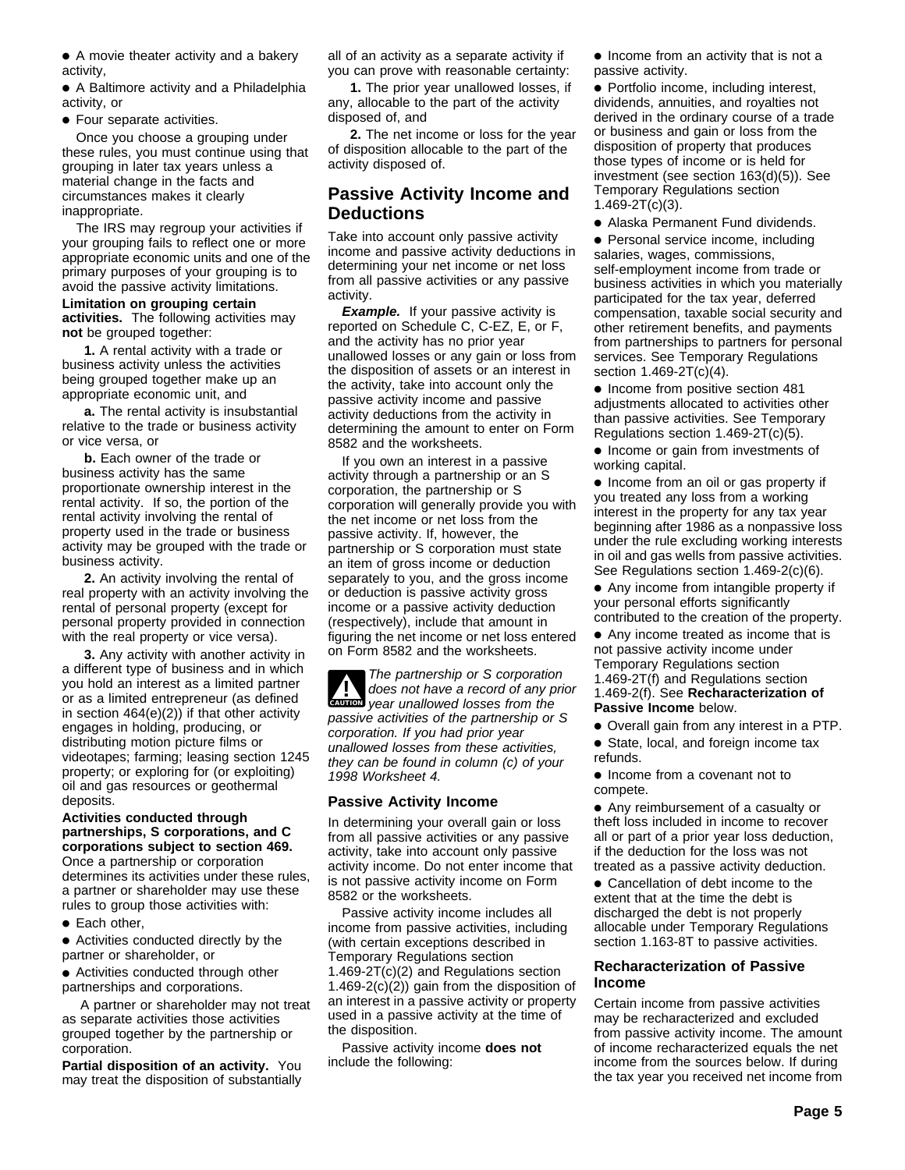● A movie theater activity and a bakery activity,

● A Baltimore activity and a Philadelphia activity, or

● Four separate activities.

Once you choose a grouping under these rules, you must continue using that grouping in later tax years unless a material change in the facts and circumstances makes it clearly inappropriate.

The IRS may regroup your activities if your grouping fails to reflect one or more appropriate economic units and one of the primary purposes of your grouping is to avoid the passive activity limitations.

#### **Limitation on grouping certain activities.** The following activities may **not** be grouped together:

**1.** A rental activity with a trade or business activity unless the activities being grouped together make up an appropriate economic unit, and

**a.** The rental activity is insubstantial relative to the trade or business activity or vice versa, or

**b.** Each owner of the trade or business activity has the same proportionate ownership interest in the rental activity. If so, the portion of the rental activity involving the rental of property used in the trade or business activity may be grouped with the trade or business activity.

**2.** An activity involving the rental of real property with an activity involving the rental of personal property (except for personal property provided in connection with the real property or vice versa).

**3.** Any activity with another activity in a different type of business and in which you hold an interest as a limited partner or as a limited entrepreneur (as defined in section 464(e)(2)) if that other activity engages in holding, producing, or distributing motion picture films or videotapes; farming; leasing section 1245 property; or exploring for (or exploiting) oil and gas resources or geothermal deposits.

#### **Activities conducted through partnerships, S corporations, and C corporations subject to section 469.** Once a partnership or corporation determines its activities under these rules, a partner or shareholder may use these rules to group those activities with:

● Each other,

● Activities conducted directly by the partner or shareholder, or

● Activities conducted through other partnerships and corporations.

 A partner or shareholder may not treat as separate activities those activities grouped together by the partnership or corporation.

**Partial disposition of an activity.** You may treat the disposition of substantially

all of an activity as a separate activity if you can prove with reasonable certainty:

**1.** The prior year unallowed losses, if any, allocable to the part of the activity disposed of, and

**2.** The net income or loss for the year of disposition allocable to the part of the activity disposed of.

# **Passive Activity Income and Deductions**

Take into account only passive activity income and passive activity deductions in determining your net income or net loss from all passive activities or any passive activity.

**Example.** If your passive activity is reported on Schedule C, C-EZ, E, or F, and the activity has no prior year unallowed losses or any gain or loss from the disposition of assets or an interest in the activity, take into account only the passive activity income and passive activity deductions from the activity in determining the amount to enter on Form 8582 and the worksheets.

If you own an interest in a passive activity through a partnership or an S corporation, the partnership or S corporation will generally provide you with the net income or net loss from the passive activity. If, however, the partnership or S corporation must state an item of gross income or deduction separately to you, and the gross income or deduction is passive activity gross income or a passive activity deduction (respectively), include that amount in figuring the net income or net loss entered on Form 8582 and the worksheets.

**CAUTION** year unallowed losses from the The partnership or S corporation<br>does not have a record of any prior passive activities of the partnership or S corporation. If you had prior year unallowed losses from these activities, they can be found in column (c) of your 1998 Worksheet 4.

# **Passive Activity Income**

In determining your overall gain or loss from all passive activities or any passive activity, take into account only passive activity income. Do not enter income that is not passive activity income on Form 8582 or the worksheets.

Passive activity income includes all income from passive activities, including (with certain exceptions described in Temporary Regulations section 1.469-2T(c)(2) and Regulations section 1.469-2(c)(2)) gain from the disposition of an interest in a passive activity or property used in a passive activity at the time of the disposition.

Passive activity income **does not** include the following:

● Income from an activity that is not a passive activity.

● Portfolio income, including interest, dividends, annuities, and royalties not derived in the ordinary course of a trade or business and gain or loss from the disposition of property that produces those types of income or is held for investment (see section 163(d)(5)). See Temporary Regulations section 1.469-2T(c)(3).

● Alaska Permanent Fund dividends.

● Personal service income, including salaries, wages, commissions, self-employment income from trade or business activities in which you materially participated for the tax year, deferred compensation, taxable social security and other retirement benefits, and payments from partnerships to partners for personal services. See Temporary Regulations section 1.469-2T(c)(4).

● Income from positive section 481 adjustments allocated to activities other than passive activities. See Temporary Regulations section 1.469-2T(c)(5).

● Income or gain from investments of working capital.

● Income from an oil or gas property if you treated any loss from a working interest in the property for any tax year beginning after 1986 as a nonpassive loss under the rule excluding working interests in oil and gas wells from passive activities. See Regulations section 1.469-2(c)(6).

● Any income from intangible property if your personal efforts significantly contributed to the creation of the property.

● Any income treated as income that is not passive activity income under Temporary Regulations section

1.469-2T(f) and Regulations section 1.469-2(f). See **Recharacterization of Passive Income** below.

- Overall gain from any interest in a PTP.
- State, local, and foreign income tax refunds.

● Income from a covenant not to compete.

● Any reimbursement of a casualty or theft loss included in income to recover all or part of a prior year loss deduction, if the deduction for the loss was not treated as a passive activity deduction.

● Cancellation of debt income to the extent that at the time the debt is discharged the debt is not properly allocable under Temporary Regulations section 1.163-8T to passive activities.

#### **Recharacterization of Passive Income**

Certain income from passive activities may be recharacterized and excluded from passive activity income. The amount of income recharacterized equals the net income from the sources below. If during the tax year you received net income from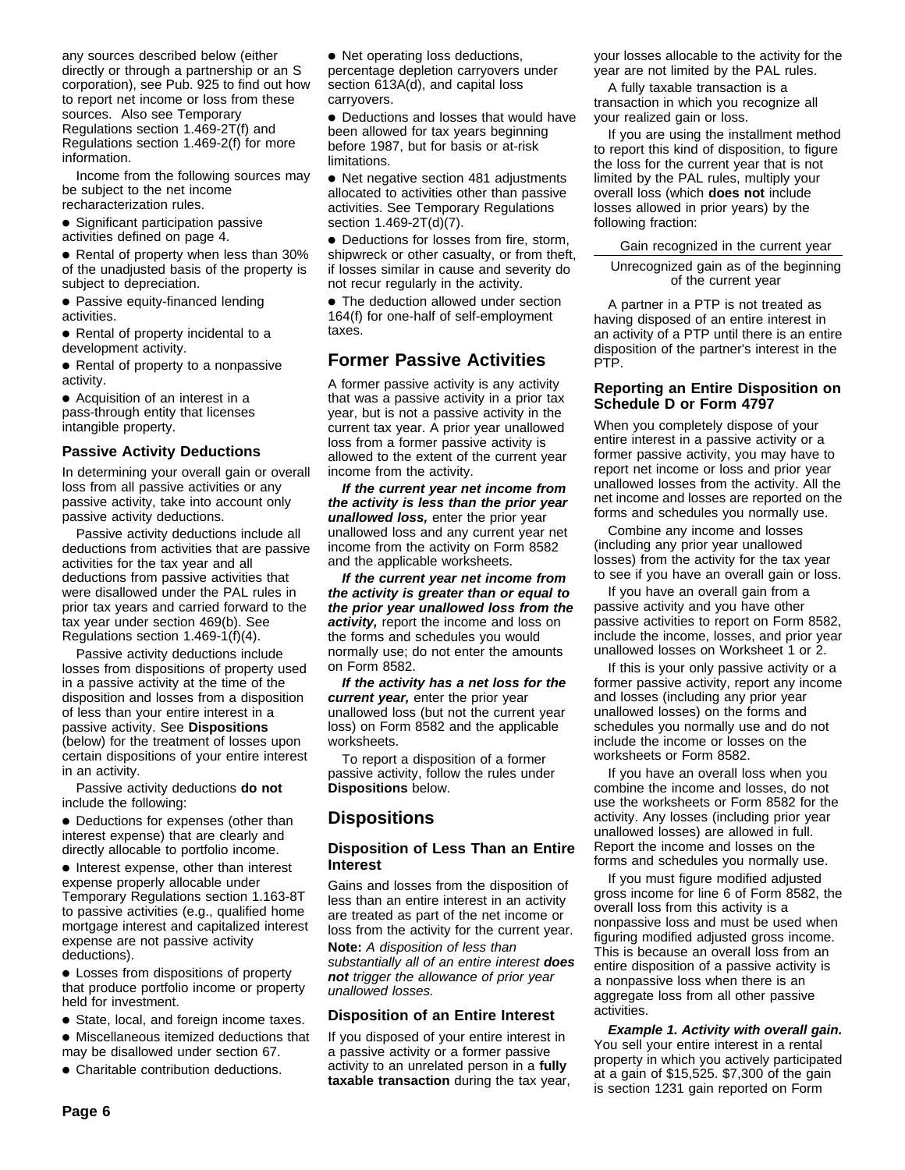any sources described below (either directly or through a partnership or an S corporation), see Pub. 925 to find out how to report net income or loss from these sources. Also see Temporary Regulations section 1.469-2T(f) and Regulations section 1.469-2(f) for more information.

Income from the following sources may be subject to the net income recharacterization rules.

● Significant participation passive activities defined on page 4.

● Rental of property when less than 30% of the unadjusted basis of the property is subject to depreciation.

- Passive equity-financed lending activities.
- Rental of property incidental to a development activity.
- Rental of property to a nonpassive activity.

● Acquisition of an interest in a pass-through entity that licenses intangible property.

#### **Passive Activity Deductions**

In determining your overall gain or overall loss from all passive activities or any passive activity, take into account only passive activity deductions.

Passive activity deductions include all deductions from activities that are passive activities for the tax year and all deductions from passive activities that were disallowed under the PAL rules in prior tax years and carried forward to the tax year under section 469(b). See Regulations section 1.469-1(f)(4).

Passive activity deductions include losses from dispositions of property used in a passive activity at the time of the disposition and losses from a disposition of less than your entire interest in a passive activity. See **Dispositions** (below) for the treatment of losses upon certain dispositions of your entire interest in an activity.

Passive activity deductions **do not** include the following:

● Deductions for expenses (other than interest expense) that are clearly and directly allocable to portfolio income.

● Interest expense, other than interest expense properly allocable under Temporary Regulations section 1.163-8T to passive activities (e.g., qualified home mortgage interest and capitalized interest expense are not passive activity deductions).

● Losses from dispositions of property that produce portfolio income or property held for investment.

- State, local, and foreign income taxes.
- Miscellaneous itemized deductions that
- may be disallowed under section 67.
- Charitable contribution deductions.

● Net operating loss deductions, percentage depletion carryovers under section 613A(d), and capital loss carryovers.

● Deductions and losses that would have been allowed for tax years beginning before 1987, but for basis or at-risk **limitations** 

● Net negative section 481 adjustments allocated to activities other than passive activities. See Temporary Regulations section 1.469-2T(d)(7).

● Deductions for losses from fire, storm, shipwreck or other casualty, or from theft, if losses similar in cause and severity do not recur regularly in the activity.

• The deduction allowed under section 164(f) for one-half of self-employment taxes.

# **Former Passive Activities**

A former passive activity is any activity that was a passive activity in a prior tax year, but is not a passive activity in the current tax year. A prior year unallowed loss from a former passive activity is allowed to the extent of the current year income from the activity.

**If the current year net income from the activity is less than the prior year unallowed loss,** enter the prior year unallowed loss and any current year net income from the activity on Form 8582 and the applicable worksheets.

**If the current year net income from the activity is greater than or equal to the prior year unallowed loss from the activity,** report the income and loss on the forms and schedules you would normally use; do not enter the amounts on Form 8582.

**If the activity has a net loss for the current year,** enter the prior year unallowed loss (but not the current year loss) on Form 8582 and the applicable worksheets.

To report a disposition of a former passive activity, follow the rules under **Dispositions** below.

# **Dispositions**

#### **Disposition of Less Than an Entire Interest**

Gains and losses from the disposition of less than an entire interest in an activity are treated as part of the net income or loss from the activity for the current year.

**Note:** A disposition of less than substantially all of an entire interest **does not** trigger the allowance of prior year unallowed losses.

#### **Disposition of an Entire Interest**

If you disposed of your entire interest in a passive activity or a former passive activity to an unrelated person in a **fully taxable transaction** during the tax year, your losses allocable to the activity for the year are not limited by the PAL rules.

A fully taxable transaction is a transaction in which you recognize all your realized gain or loss.

If you are using the installment method to report this kind of disposition, to figure the loss for the current year that is not limited by the PAL rules, multiply your overall loss (which **does not** include losses allowed in prior years) by the following fraction:

Gain recognized in the current year

Unrecognized gain as of the beginning of the current year

A partner in a PTP is not treated as having disposed of an entire interest in an activity of a PTP until there is an entire disposition of the partner's interest in the PTP.

## **Reporting an Entire Disposition on Schedule D or Form 4797**

When you completely dispose of your entire interest in a passive activity or a former passive activity, you may have to report net income or loss and prior year unallowed losses from the activity. All the net income and losses are reported on the forms and schedules you normally use.

Combine any income and losses (including any prior year unallowed losses) from the activity for the tax year to see if you have an overall gain or loss.

If you have an overall gain from a passive activity and you have other passive activities to report on Form 8582, include the income, losses, and prior year unallowed losses on Worksheet 1 or 2.

If this is your only passive activity or a former passive activity, report any income and losses (including any prior year unallowed losses) on the forms and schedules you normally use and do not include the income or losses on the worksheets or Form 8582.

If you have an overall loss when you combine the income and losses, do not use the worksheets or Form 8582 for the activity. Any losses (including prior year unallowed losses) are allowed in full. Report the income and losses on the forms and schedules you normally use.

If you must figure modified adjusted gross income for line 6 of Form 8582, the overall loss from this activity is a nonpassive loss and must be used when figuring modified adjusted gross income. This is because an overall loss from an entire disposition of a passive activity is a nonpassive loss when there is an aggregate loss from all other passive activities.

**Example 1. Activity with overall gain.** You sell your entire interest in a rental property in which you actively participated at a gain of \$15,525. \$7,300 of the gain is section 1231 gain reported on Form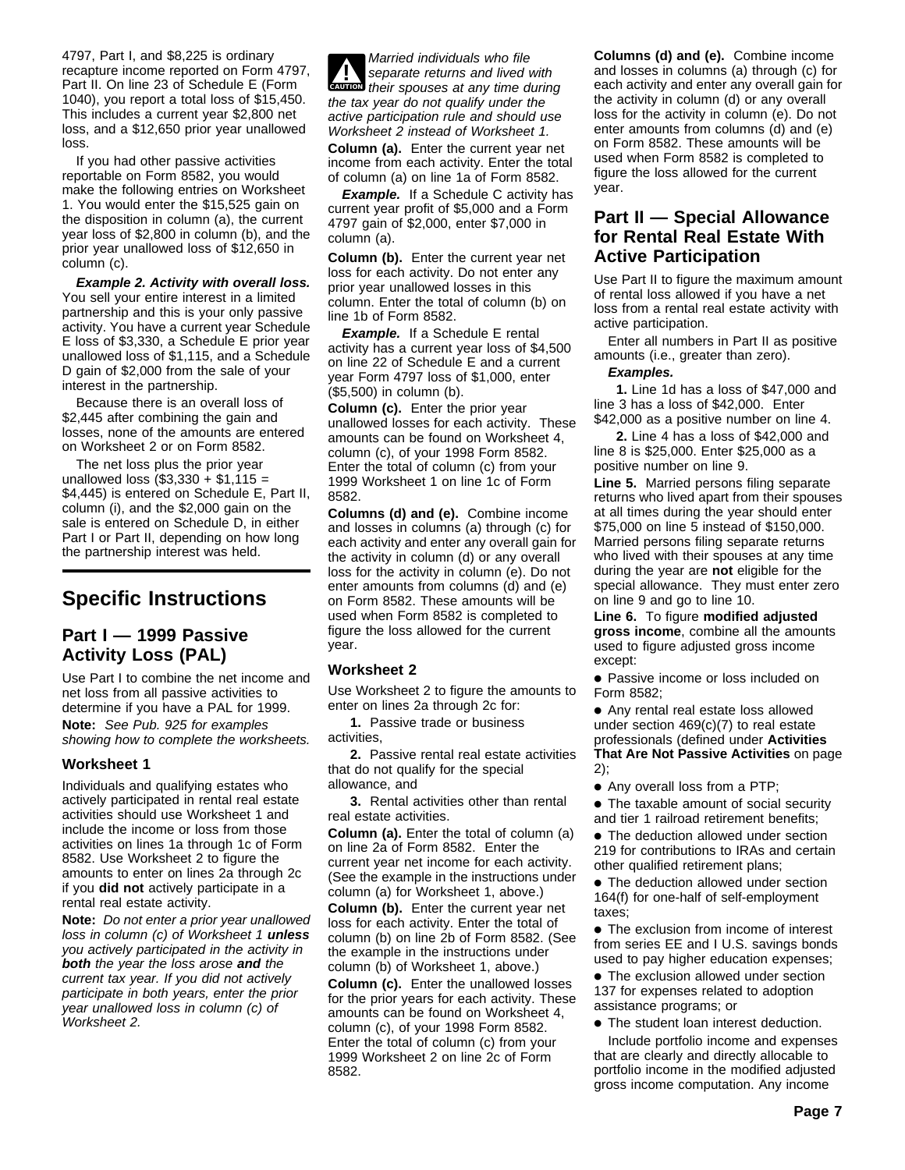4797, Part I, and \$8,225 is ordinary recapture income reported on Form 4797, Part II. On line 23 of Schedule E (Form 1040), you report a total loss of \$15,450. This includes a current year \$2,800 net loss, and a \$12,650 prior year unallowed loss.

If you had other passive activities reportable on Form 8582, you would make the following entries on Worksheet 1. You would enter the \$15,525 gain on the disposition in column (a), the current year loss of \$2,800 in column (b), and the prior year unallowed loss of \$12,650 in column (c).

**Example 2. Activity with overall loss.** You sell your entire interest in a limited partnership and this is your only passive activity. You have a current year Schedule E loss of \$3,330, a Schedule E prior year unallowed loss of \$1,115, and a Schedule D gain of \$2,000 from the sale of your interest in the partnership.

Because there is an overall loss of \$2,445 after combining the gain and losses, none of the amounts are entered on Worksheet 2 or on Form 8582.

The net loss plus the prior year unallowed loss  $(\$3,330 + \$1,115 =$ \$4,445) is entered on Schedule E, Part II, column (i), and the \$2,000 gain on the sale is entered on Schedule D, in either Part I or Part II, depending on how long the partnership interest was held.

# **Specific Instructions**

# **Part I — 1999 Passive Activity Loss (PAL)**

Use Part I to combine the net income and net loss from all passive activities to determine if you have a PAL for 1999. **Note:** See Pub. 925 for examples showing how to complete the worksheets.

# **Worksheet 1**

Individuals and qualifying estates who actively participated in rental real estate activities should use Worksheet 1 and include the income or loss from those activities on lines 1a through 1c of Form 8582. Use Worksheet 2 to figure the amounts to enter on lines 2a through 2c if you **did not** actively participate in a rental real estate activity.

**Note:** Do not enter a prior year unallowed loss in column (c) of Worksheet 1 **unless** you actively participated in the activity in **both** the year the loss arose **and** the current tax year. If you did not actively participate in both years, enter the prior year unallowed loss in column (c) of Worksheet 2.

**EXPLORER CAUTION**<br> **EAUTION** their spouses at any time during Married individuals who file separate returns and lived with the tax year do not qualify under the active participation rule and should use Worksheet 2 instead of Worksheet 1. **Column (a).** Enter the current year net income from each activity. Enter the total of column (a) on line 1a of Form 8582.

**Example.** If a Schedule C activity has current year profit of \$5,000 and a Form 4797 gain of \$2,000, enter \$7,000 in column (a).

**Column (b).** Enter the current year net loss for each activity. Do not enter any prior year unallowed losses in this column. Enter the total of column (b) on line 1b of Form 8582.

**Example.** If a Schedule E rental activity has a current year loss of \$4,500 on line 22 of Schedule E and a current year Form 4797 loss of \$1,000, enter (\$5,500) in column (b).

**Column (c).** Enter the prior year unallowed losses for each activity. These amounts can be found on Worksheet 4, column (c), of your 1998 Form 8582. Enter the total of column (c) from your 1999 Worksheet 1 on line 1c of Form 8582.

**Columns (d) and (e).** Combine income and losses in columns (a) through (c) for each activity and enter any overall gain for the activity in column (d) or any overall loss for the activity in column (e). Do not enter amounts from columns (d) and (e) on Form 8582. These amounts will be used when Form 8582 is completed to figure the loss allowed for the current year.

# **Worksheet 2**

Use Worksheet 2 to figure the amounts to enter on lines 2a through 2c for:

**1.** Passive trade or business activities,

**2.** Passive rental real estate activities that do not qualify for the special allowance, and

**3.** Rental activities other than rental real estate activities.

**Column (a).** Enter the total of column (a) on line 2a of Form 8582. Enter the current year net income for each activity. (See the example in the instructions under

column (a) for Worksheet 1, above.) **Column (b).** Enter the current year net loss for each activity. Enter the total of column (b) on line 2b of Form 8582. (See the example in the instructions under column (b) of Worksheet 1, above.)

**Column (c).** Enter the unallowed losses for the prior years for each activity. These amounts can be found on Worksheet 4, column (c), of your 1998 Form 8582. Enter the total of column (c) from your 1999 Worksheet 2 on line 2c of Form 8582.

**Columns (d) and (e).** Combine income and losses in columns (a) through (c) for each activity and enter any overall gain for the activity in column (d) or any overall loss for the activity in column (e). Do not enter amounts from columns (d) and (e) on Form 8582. These amounts will be used when Form 8582 is completed to figure the loss allowed for the current year.

# **Part II — Special Allowance for Rental Real Estate With Active Participation**

Use Part II to figure the maximum amount of rental loss allowed if you have a net loss from a rental real estate activity with active participation.

Enter all numbers in Part II as positive amounts (i.e., greater than zero).

## **Examples.**

**1.** Line 1d has a loss of \$47,000 and line 3 has a loss of \$42,000. Enter \$42,000 as a positive number on line 4.

**2.** Line 4 has a loss of \$42,000 and line 8 is \$25,000. Enter \$25,000 as a positive number on line 9.

**Line 5.** Married persons filing separate returns who lived apart from their spouses at all times during the year should enter \$75,000 on line 5 instead of \$150,000. Married persons filing separate returns who lived with their spouses at any time during the year are **not** eligible for the special allowance. They must enter zero on line 9 and go to line 10.

**Line 6.** To figure **modified adjusted gross income**, combine all the amounts used to figure adjusted gross income except:

● Passive income or loss included on Form 8582;

● Any rental real estate loss allowed under section 469(c)(7) to real estate professionals (defined under **Activities That Are Not Passive Activities** on page 2);

● Any overall loss from a PTP;

● The taxable amount of social security and tier 1 railroad retirement benefits;

● The deduction allowed under section 219 for contributions to IRAs and certain other qualified retirement plans;

● The deduction allowed under section 164(f) for one-half of self-employment taxes;

● The exclusion from income of interest from series EE and I U.S. savings bonds used to pay higher education expenses;

• The exclusion allowed under section 137 for expenses related to adoption assistance programs; or

● The student loan interest deduction.

Include portfolio income and expenses that are clearly and directly allocable to portfolio income in the modified adjusted gross income computation. Any income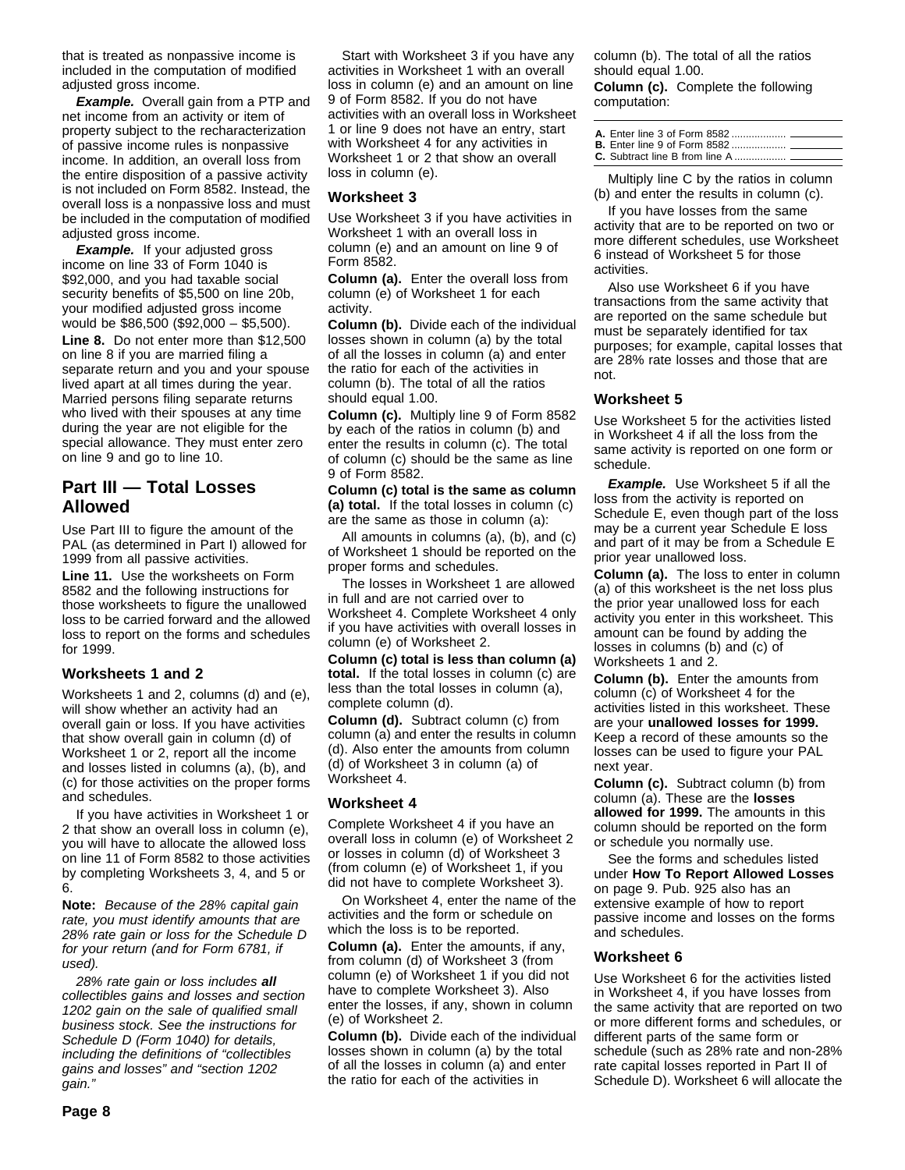that is treated as nonpassive income is included in the computation of modified adjusted gross income.

**Example.** Overall gain from a PTP and net income from an activity or item of property subject to the recharacterization of passive income rules is nonpassive income. In addition, an overall loss from the entire disposition of a passive activity is not included on Form 8582. Instead, the overall loss is a nonpassive loss and must be included in the computation of modified adjusted gross income.

**Example.** If your adjusted gross income on line 33 of Form 1040 is \$92,000, and you had taxable social security benefits of \$5,500 on line 20b, your modified adjusted gross income would be \$86,500 (\$92,000 – \$5,500). **Line 8.** Do not enter more than \$12,500 on line 8 if you are married filing a separate return and you and your spouse lived apart at all times during the year. Married persons filing separate returns who lived with their spouses at any time during the year are not eligible for the special allowance. They must enter zero on line 9 and go to line 10.

# **Part III — Total Losses Allowed**

Use Part III to figure the amount of the PAL (as determined in Part I) allowed for 1999 from all passive activities.

**Line 11.** Use the worksheets on Form 8582 and the following instructions for those worksheets to figure the unallowed loss to be carried forward and the allowed loss to report on the forms and schedules for 1999.

# **Worksheets 1 and 2**

Worksheets 1 and 2, columns (d) and (e), will show whether an activity had an overall gain or loss. If you have activities that show overall gain in column (d) of Worksheet 1 or 2, report all the income and losses listed in columns (a), (b), and (c) for those activities on the proper forms and schedules.

If you have activities in Worksheet 1 or 2 that show an overall loss in column (e), you will have to allocate the allowed loss on line 11 of Form 8582 to those activities by completing Worksheets 3, 4, and 5 or 6.

**Note:** Because of the 28% capital gain rate, you must identify amounts that are 28% rate gain or loss for the Schedule D for your return (and for Form 6781, if used).

28% rate gain or loss includes **all** collectibles gains and losses and section 1202 gain on the sale of qualified small business stock. See the instructions for Schedule D (Form 1040) for details, including the definitions of "collectibles gains and losses" and "section 1202 gain."

Start with Worksheet 3 if you have any activities in Worksheet 1 with an overall loss in column (e) and an amount on line 9 of Form 8582. If you do not have activities with an overall loss in Worksheet 1 or line 9 does not have an entry, start with Worksheet 4 for any activities in Worksheet 1 or 2 that show an overall loss in column (e).

#### **Worksheet 3**

Use Worksheet 3 if you have activities in Worksheet 1 with an overall loss in column (e) and an amount on line 9 of Form 8582.

**Column (a).** Enter the overall loss from column (e) of Worksheet 1 for each activity.

**Column (b).** Divide each of the individual losses shown in column (a) by the total of all the losses in column (a) and enter the ratio for each of the activities in column (b). The total of all the ratios should equal 1.00.

**Column (c).** Multiply line 9 of Form 8582 by each of the ratios in column (b) and enter the results in column (c). The total of column (c) should be the same as line 9 of Form 8582.

**Column (c) total is the same as column (a) total.** If the total losses in column (c) are the same as those in column (a):

All amounts in columns (a), (b), and (c) of Worksheet 1 should be reported on the proper forms and schedules.

The losses in Worksheet 1 are allowed in full and are not carried over to Worksheet 4. Complete Worksheet 4 only if you have activities with overall losses in column (e) of Worksheet 2.

**Column (c) total is less than column (a) total.** If the total losses in column (c) are less than the total losses in column (a), complete column (d).

**Column (d).** Subtract column (c) from column (a) and enter the results in column (d). Also enter the amounts from column (d) of Worksheet 3 in column (a) of Worksheet 4.

#### **Worksheet 4**

Complete Worksheet 4 if you have an overall loss in column (e) of Worksheet 2 or losses in column (d) of Worksheet 3 (from column (e) of Worksheet 1, if you did not have to complete Worksheet 3).

On Worksheet 4, enter the name of the activities and the form or schedule on which the loss is to be reported.

**Column (a).** Enter the amounts, if any, from column (d) of Worksheet 3 (from column (e) of Worksheet 1 if you did not have to complete Worksheet 3). Also enter the losses, if any, shown in column (e) of Worksheet 2.

**Column (b).** Divide each of the individual losses shown in column (a) by the total of all the losses in column (a) and enter the ratio for each of the activities in

column (b). The total of all the ratios should equal 1.00.

**Column (c).** Complete the following computation:

Multiply line C by the ratios in column (b) and enter the results in column (c).

If you have losses from the same activity that are to be reported on two or more different schedules, use Worksheet 6 instead of Worksheet 5 for those activities.

Also use Worksheet 6 if you have transactions from the same activity that are reported on the same schedule but must be separately identified for tax purposes; for example, capital losses that are 28% rate losses and those that are not.

#### **Worksheet 5**

Use Worksheet 5 for the activities listed in Worksheet 4 if all the loss from the same activity is reported on one form or schedule.

**Example.** Use Worksheet 5 if all the loss from the activity is reported on Schedule E, even though part of the loss may be a current year Schedule E loss and part of it may be from a Schedule E prior year unallowed loss.

**Column (a).** The loss to enter in column (a) of this worksheet is the net loss plus the prior year unallowed loss for each activity you enter in this worksheet. This amount can be found by adding the losses in columns (b) and (c) of Worksheets 1 and 2.

**Column (b).** Enter the amounts from column (c) of Worksheet 4 for the activities listed in this worksheet. These are your **unallowed losses for 1999.** Keep a record of these amounts so the losses can be used to figure your PAL next year.

**Column (c).** Subtract column (b) from column (a). These are the **losses allowed for 1999.** The amounts in this column should be reported on the form or schedule you normally use.

See the forms and schedules listed under **How To Report Allowed Losses** on page 9. Pub. 925 also has an extensive example of how to report passive income and losses on the forms and schedules.

#### **Worksheet 6**

Use Worksheet 6 for the activities listed in Worksheet 4, if you have losses from the same activity that are reported on two or more different forms and schedules, or different parts of the same form or schedule (such as 28% rate and non-28% rate capital losses reported in Part II of Schedule D). Worksheet 6 will allocate the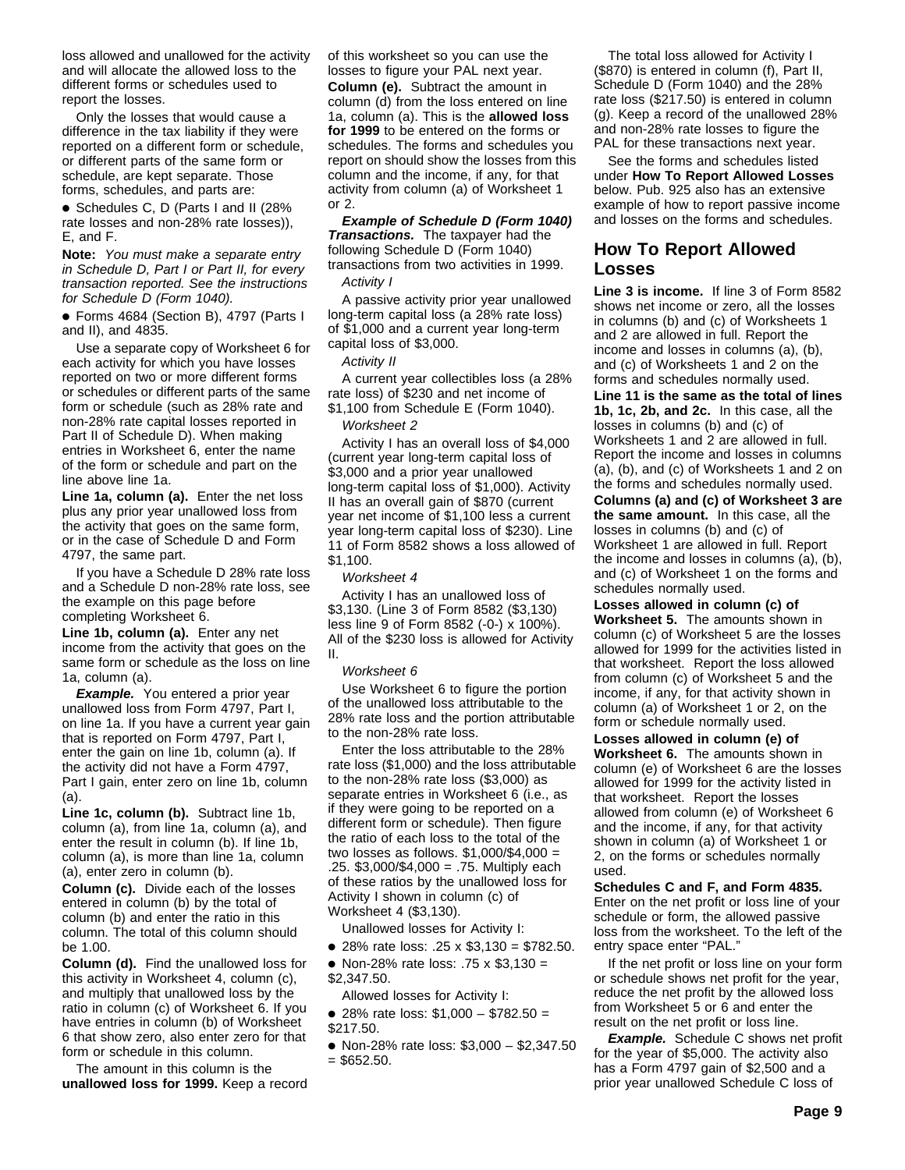loss allowed and unallowed for the activity and will allocate the allowed loss to the different forms or schedules used to report the losses.

Only the losses that would cause a difference in the tax liability if they were reported on a different form or schedule, or different parts of the same form or schedule, are kept separate. Those forms, schedules, and parts are:

● Schedules C, D (Parts I and II (28% rate losses and non-28% rate losses)), E, and F.

**Note:** You must make a separate entry in Schedule D, Part I or Part II, for every transaction reported. See the instructions for Schedule D (Form 1040).

● Forms 4684 (Section B), 4797 (Parts I and II), and 4835.

Use a separate copy of Worksheet 6 for each activity for which you have losses reported on two or more different forms or schedules or different parts of the same form or schedule (such as 28% rate and non-28% rate capital losses reported in Part II of Schedule D). When making entries in Worksheet 6, enter the name of the form or schedule and part on the line above line 1a.

**Line 1a, column (a).** Enter the net loss plus any prior year unallowed loss from the activity that goes on the same form, or in the case of Schedule D and Form 4797, the same part.

If you have a Schedule D 28% rate loss and a Schedule D non-28% rate loss, see the example on this page before completing Worksheet 6.

**Line 1b, column (a).** Enter any net income from the activity that goes on the same form or schedule as the loss on line 1a, column (a).

**Example.** You entered a prior year unallowed loss from Form 4797, Part I, on line 1a. If you have a current year gain that is reported on Form 4797, Part I, enter the gain on line 1b, column (a). If the activity did not have a Form 4797, Part I gain, enter zero on line 1b, column (a).

**Line 1c, column (b).** Subtract line 1b, column (a), from line 1a, column (a), and enter the result in column (b). If line 1b, column (a), is more than line 1a, column (a), enter zero in column (b).

**Column (c).** Divide each of the losses entered in column (b) by the total of column (b) and enter the ratio in this column. The total of this column should be 1.00.

**Column (d).** Find the unallowed loss for this activity in Worksheet 4, column (c), and multiply that unallowed loss by the ratio in column (c) of Worksheet 6. If you have entries in column (b) of Worksheet 6 that show zero, also enter zero for that form or schedule in this column.

The amount in this column is the **unallowed loss for 1999.** Keep a record of this worksheet so you can use the losses to figure your PAL next year. **Column (e).** Subtract the amount in column (d) from the loss entered on line 1a, column (a). This is the **allowed loss for 1999** to be entered on the forms or schedules. The forms and schedules you report on should show the losses from this column and the income, if any, for that activity from column (a) of Worksheet 1 or 2.

**Example of Schedule D (Form 1040) Transactions.** The taxpayer had the following Schedule D (Form 1040) transactions from two activities in 1999. Activity I

A passive activity prior year unallowed long-term capital loss (a 28% rate loss) of \$1,000 and a current year long-term capital loss of \$3,000.

#### Activity II

A current year collectibles loss (a 28% rate loss) of \$230 and net income of \$1,100 from Schedule E (Form 1040).

#### Worksheet 2

Activity I has an overall loss of \$4,000 (current year long-term capital loss of \$3,000 and a prior year unallowed long-term capital loss of \$1,000). Activity II has an overall gain of \$870 (current year net income of \$1,100 less a current year long-term capital loss of \$230). Line 11 of Form 8582 shows a loss allowed of \$1,100.

#### Worksheet 4

Activity I has an unallowed loss of \$3,130. (Line 3 of Form 8582 (\$3,130) less line 9 of Form 8582 (-0-) x 100%). All of the \$230 loss is allowed for Activity II.

#### Worksheet 6

Use Worksheet 6 to figure the portion of the unallowed loss attributable to the 28% rate loss and the portion attributable to the non-28% rate loss.

Enter the loss attributable to the 28% rate loss (\$1,000) and the loss attributable to the non-28% rate loss (\$3,000) as separate entries in Worksheet 6 (i.e., as if they were going to be reported on a different form or schedule). Then figure the ratio of each loss to the total of the two losses as follows. \$1,000/\$4,000 = .25. \$3,000/\$4,000 = .75. Multiply each of these ratios by the unallowed loss for Activity I shown in column (c) of Worksheet 4 (\$3,130).

Unallowed losses for Activity I:

- 28% rate loss: .25 x \$3,130 = \$782.50.
- Non-28% rate loss: .75 x \$3,130 = \$2,347.50.
- Allowed losses for Activity I:
- 28% rate loss: \$1,000 \$782.50 = \$217.50.
- Non-28% rate loss: \$3,000 \$2,347.50
- $=$  \$652.50.

The total loss allowed for Activity I (\$870) is entered in column (f), Part II, Schedule D (Form 1040) and the 28% rate loss (\$217.50) is entered in column (g). Keep a record of the unallowed 28% and non-28% rate losses to figure the PAL for these transactions next year.

See the forms and schedules listed under **How To Report Allowed Losses** below. Pub. 925 also has an extensive example of how to report passive income and losses on the forms and schedules.

# **How To Report Allowed Losses**

**Line 3 is income.** If line 3 of Form 8582 shows net income or zero, all the losses in columns (b) and (c) of Worksheets 1 and 2 are allowed in full. Report the income and losses in columns (a), (b), and (c) of Worksheets 1 and 2 on the forms and schedules normally used.

**Line 11 is the same as the total of lines 1b, 1c, 2b, and 2c.** In this case, all the losses in columns (b) and (c) of Worksheets 1 and 2 are allowed in full. Report the income and losses in columns (a), (b), and (c) of Worksheets 1 and 2 on the forms and schedules normally used.

**Columns (a) and (c) of Worksheet 3 are the same amount.** In this case, all the losses in columns (b) and (c) of Worksheet 1 are allowed in full. Report the income and losses in columns (a), (b), and (c) of Worksheet 1 on the forms and schedules normally used.

**Losses allowed in column (c) of Worksheet 5.** The amounts shown in column (c) of Worksheet 5 are the losses allowed for 1999 for the activities listed in that worksheet. Report the loss allowed from column (c) of Worksheet 5 and the income, if any, for that activity shown in column (a) of Worksheet 1 or 2, on the form or schedule normally used.

**Losses allowed in column (e) of Worksheet 6.** The amounts shown in column (e) of Worksheet 6 are the losses allowed for 1999 for the activity listed in that worksheet. Report the losses allowed from column (e) of Worksheet 6 and the income, if any, for that activity shown in column (a) of Worksheet 1 or 2, on the forms or schedules normally used.

#### **Schedules C and F, and Form 4835.**

Enter on the net profit or loss line of your schedule or form, the allowed passive loss from the worksheet. To the left of the entry space enter "PAL."

If the net profit or loss line on your form or schedule shows net profit for the year, reduce the net profit by the allowed loss from Worksheet 5 or 6 and enter the result on the net profit or loss line.

**Example.** Schedule C shows net profit for the year of \$5,000. The activity also has a Form 4797 gain of \$2,500 and a prior year unallowed Schedule C loss of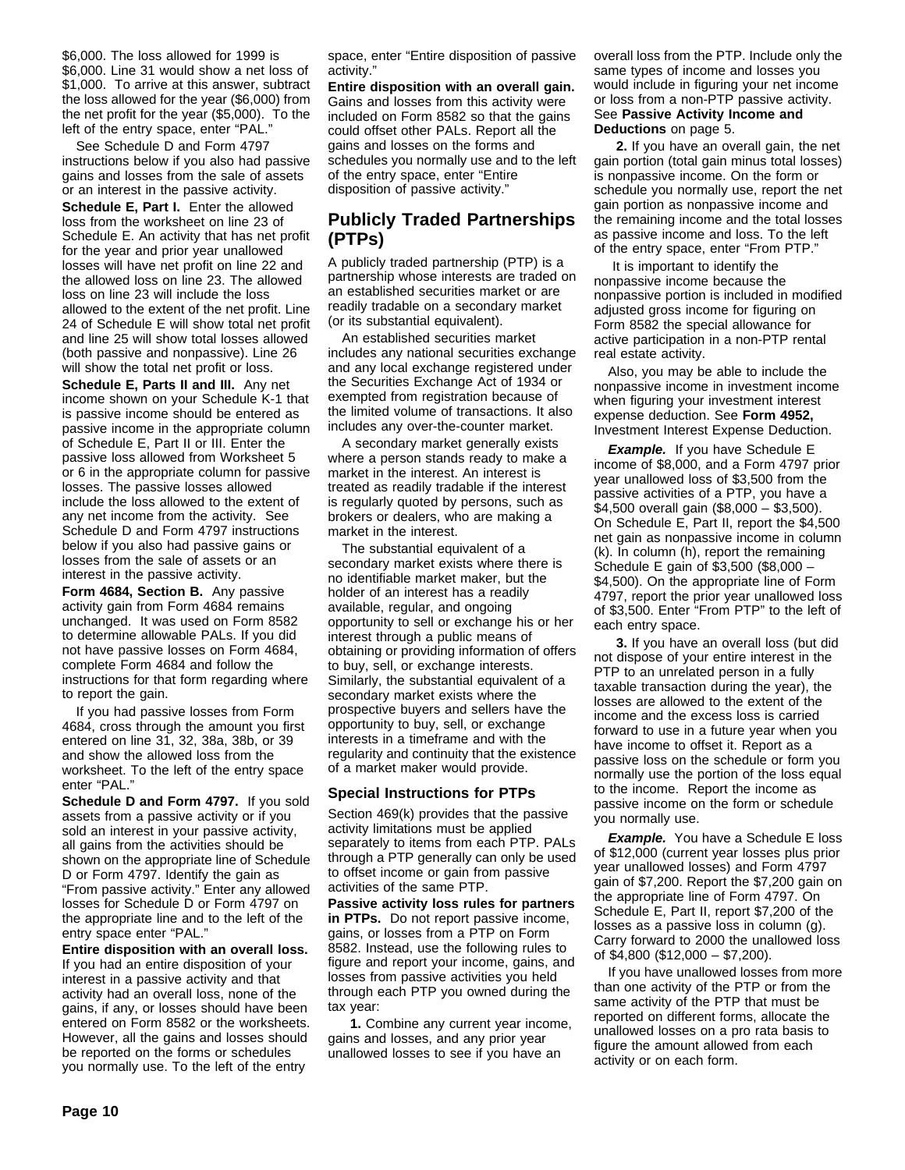\$6,000. The loss allowed for 1999 is \$6,000. Line 31 would show a net loss of \$1,000. To arrive at this answer, subtract the loss allowed for the year (\$6,000) from the net profit for the year (\$5,000). To the left of the entry space, enter "PAL."

See Schedule D and Form 4797 instructions below if you also had passive gains and losses from the sale of assets or an interest in the passive activity.

**Schedule E, Part I.** Enter the allowed loss from the worksheet on line 23 of Schedule E. An activity that has net profit for the year and prior year unallowed losses will have net profit on line 22 and the allowed loss on line 23. The allowed loss on line 23 will include the loss allowed to the extent of the net profit. Line 24 of Schedule E will show total net profit and line 25 will show total losses allowed (both passive and nonpassive). Line 26 will show the total net profit or loss.

**Schedule E, Parts II and III.** Any net income shown on your Schedule K-1 that is passive income should be entered as passive income in the appropriate column of Schedule E, Part II or III. Enter the passive loss allowed from Worksheet 5 or 6 in the appropriate column for passive losses. The passive losses allowed include the loss allowed to the extent of any net income from the activity. See Schedule D and Form 4797 instructions below if you also had passive gains or losses from the sale of assets or an interest in the passive activity.

**Form 4684, Section B.** Any passive activity gain from Form 4684 remains unchanged. It was used on Form 8582 to determine allowable PALs. If you did not have passive losses on Form 4684, complete Form 4684 and follow the instructions for that form regarding where to report the gain.

If you had passive losses from Form 4684, cross through the amount you first entered on line 31, 32, 38a, 38b, or 39 and show the allowed loss from the worksheet. To the left of the entry space enter "PAL."

**Schedule D and Form 4797.** If you sold assets from a passive activity or if you sold an interest in your passive activity, all gains from the activities should be shown on the appropriate line of Schedule D or Form 4797. Identify the gain as "From passive activity." Enter any allowed losses for Schedule D or Form 4797 on the appropriate line and to the left of the entry space enter "PAL."

**Entire disposition with an overall loss.** If you had an entire disposition of your interest in a passive activity and that activity had an overall loss, none of the gains, if any, or losses should have been entered on Form 8582 or the worksheets. However, all the gains and losses should be reported on the forms or schedules you normally use. To the left of the entry

space, enter "Entire disposition of passive activity."

**Entire disposition with an overall gain.** Gains and losses from this activity were included on Form 8582 so that the gains could offset other PALs. Report all the gains and losses on the forms and schedules you normally use and to the left of the entry space, enter "Entire disposition of passive activity."

# **Publicly Traded Partnerships (PTPs)**

A publicly traded partnership (PTP) is a partnership whose interests are traded on an established securities market or are readily tradable on a secondary market (or its substantial equivalent).

An established securities market includes any national securities exchange and any local exchange registered under the Securities Exchange Act of 1934 or exempted from registration because of the limited volume of transactions. It also includes any over-the-counter market.

A secondary market generally exists where a person stands ready to make a market in the interest. An interest is treated as readily tradable if the interest is regularly quoted by persons, such as brokers or dealers, who are making a market in the interest.

The substantial equivalent of a secondary market exists where there is no identifiable market maker, but the holder of an interest has a readily available, regular, and ongoing opportunity to sell or exchange his or her interest through a public means of obtaining or providing information of offers to buy, sell, or exchange interests. Similarly, the substantial equivalent of a secondary market exists where the prospective buyers and sellers have the opportunity to buy, sell, or exchange interests in a timeframe and with the regularity and continuity that the existence of a market maker would provide.

#### **Special Instructions for PTPs**

Section 469(k) provides that the passive activity limitations must be applied separately to items from each PTP. PALs through a PTP generally can only be used to offset income or gain from passive activities of the same PTP.

**Passive activity loss rules for partners in PTPs.** Do not report passive income, gains, or losses from a PTP on Form 8582. Instead, use the following rules to figure and report your income, gains, and losses from passive activities you held through each PTP you owned during the tax year:

**1.** Combine any current year income, gains and losses, and any prior year unallowed losses to see if you have an

overall loss from the PTP. Include only the same types of income and losses you would include in figuring your net income or loss from a non-PTP passive activity. See **Passive Activity Income and Deductions** on page 5.

**2.** If you have an overall gain, the net gain portion (total gain minus total losses) is nonpassive income. On the form or schedule you normally use, report the net gain portion as nonpassive income and the remaining income and the total losses as passive income and loss. To the left of the entry space, enter "From PTP."

 It is important to identify the nonpassive income because the nonpassive portion is included in modified adjusted gross income for figuring on Form 8582 the special allowance for active participation in a non-PTP rental real estate activity.

Also, you may be able to include the nonpassive income in investment income when figuring your investment interest expense deduction. See **Form 4952,** Investment Interest Expense Deduction.

**Example.** If you have Schedule E income of \$8,000, and a Form 4797 prior year unallowed loss of \$3,500 from the passive activities of a PTP, you have a \$4,500 overall gain (\$8,000 – \$3,500). On Schedule E, Part II, report the \$4,500 net gain as nonpassive income in column (k). In column (h), report the remaining Schedule E gain of \$3,500 (\$8,000 – \$4,500). On the appropriate line of Form 4797, report the prior year unallowed loss of \$3,500. Enter "From PTP" to the left of each entry space.

**3.** If you have an overall loss (but did not dispose of your entire interest in the PTP to an unrelated person in a fully taxable transaction during the year), the losses are allowed to the extent of the income and the excess loss is carried forward to use in a future year when you have income to offset it. Report as a passive loss on the schedule or form you normally use the portion of the loss equal to the income. Report the income as passive income on the form or schedule you normally use.

**Example.** You have a Schedule E loss of \$12,000 (current year losses plus prior year unallowed losses) and Form 4797 gain of \$7,200. Report the \$7,200 gain on the appropriate line of Form 4797. On Schedule E, Part II, report \$7,200 of the losses as a passive loss in column (g). Carry forward to 2000 the unallowed loss of \$4,800 (\$12,000 – \$7,200).

If you have unallowed losses from more than one activity of the PTP or from the same activity of the PTP that must be reported on different forms, allocate the unallowed losses on a pro rata basis to figure the amount allowed from each activity or on each form.